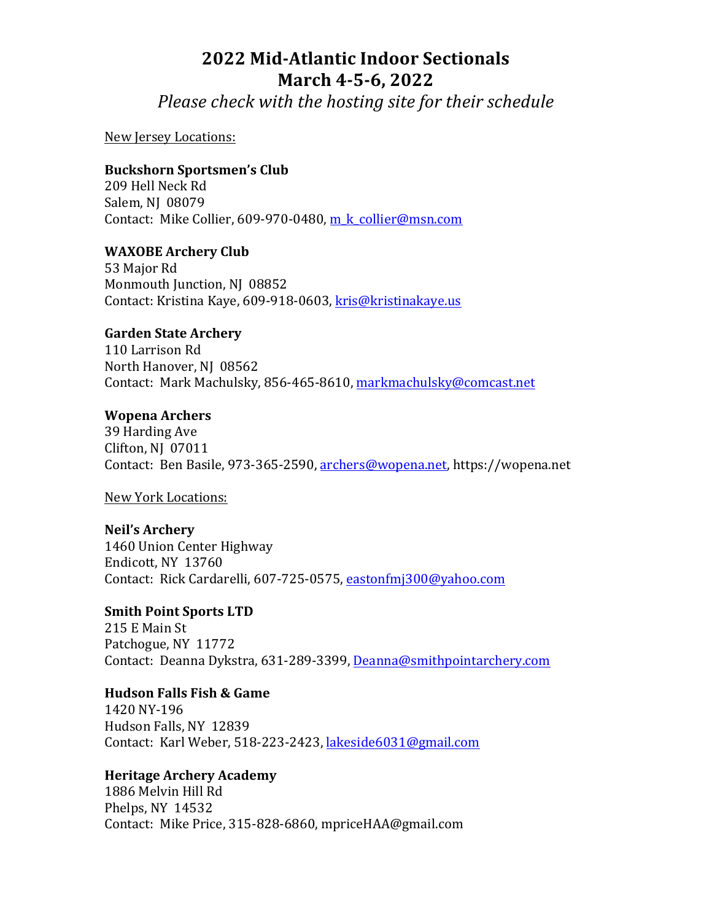# **2022 Mid-Atlantic Indoor Sectionals March 4-5-6, 2022**

*Please check with the hosting site for their schedule* 

New Jersey Locations:

## **Buckshorn Sportsmen's Club**

209 Hell Neck Rd Salem, NJ 08079 Contact: Mike Collier, 609-970-0480, m k collier@msn.com

## **WAXOBE Archery Club**

53 Major Rd Monmouth Junction, NJ 08852 Contact: Kristina Kaye, 609-918-0603, kris@kristinakaye.us

## **Garden State Archery**

110 Larrison Rd North Hanover, NJ 08562 Contact: Mark Machulsky, 856-465-8610, markmachulsky@comcast.net

#### **Wopena Archers**

39 Harding Ave Clifton, NJ 07011 Contact: Ben Basile, 973-365-2590, archers@wopena.net, https://wopena.net

New York Locations:

## **Neil's Archery**

1460 Union Center Highway Endicott, NY 13760 Contact: Rick Cardarelli, 607-725-0575, eastonfmj300@yahoo.com

**Smith Point Sports LTD** 215 E Main St Patchogue, NY 11772 Contact: Deanna Dykstra, 631-289-3399, Deanna@smithpointarchery.com

#### **Hudson Falls Fish & Game**

1420 NY-196 Hudson Falls, NY 12839 Contact: Karl Weber, 518-223-2423, lakeside6031@gmail.com

## **Heritage Archery Academy**

1886 Melvin Hill Rd Phelps, NY 14532 Contact: Mike Price, 315-828-6860, mpriceHAA@gmail.com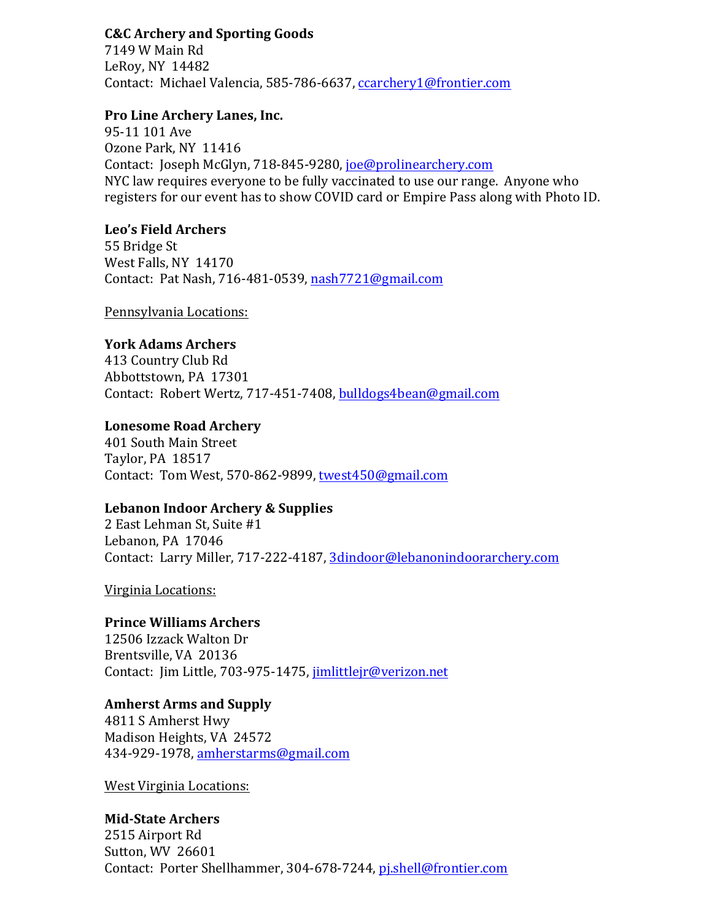## **C&C Archery and Sporting Goods**

7149 W Main Rd LeRoy, NY 14482 Contact: Michael Valencia, 585-786-6637, ccarchery1@frontier.com

#### **Pro Line Archery Lanes, Inc.**

95-11 101 Ave Ozone Park, NY 11416 Contact: Joseph McGlyn, 718-845-9280, joe@prolinearchery.com NYC law requires everyone to be fully vaccinated to use our range. Anyone who registers for our event has to show COVID card or Empire Pass along with Photo ID.

#### **Leo's Field Archers**

55 Bridge St West Falls, NY 14170 Contact: Pat Nash, 716-481-0539, nash7721@gmail.com

Pennsylvania Locations:

## **York Adams Archers**

413 Country Club Rd Abbottstown, PA 17301 Contact: Robert Wertz, 717-451-7408, bulldogs4bean@gmail.com

## Lonesome Road Archery

401 South Main Street Taylor, PA 18517 Contact: Tom West, 570-862-9899, twest450@gmail.com

## Lebanon Indoor Archery & Supplies

2 East Lehman St, Suite #1 Lebanon, PA 17046 Contact: Larry Miller, 717-222-4187, 3dindoor@lebanonindoorarchery.com

Virginia Locations:

## **Prince Williams Archers**

12506 Izzack Walton Dr Brentsville, VA 20136 Contact: Jim Little, 703-975-1475, jimlittlejr@verizon.net

## **Amherst Arms and Supply**

4811 S Amherst Hwy Madison Heights, VA 24572 434-929-1978, amherstarms@gmail.com

**West Virginia Locations:** 

## **Mid-State Archers**

2515 Airport Rd Sutton, WV 26601 Contact: Porter Shellhammer, 304-678-7244, pishell@frontier.com